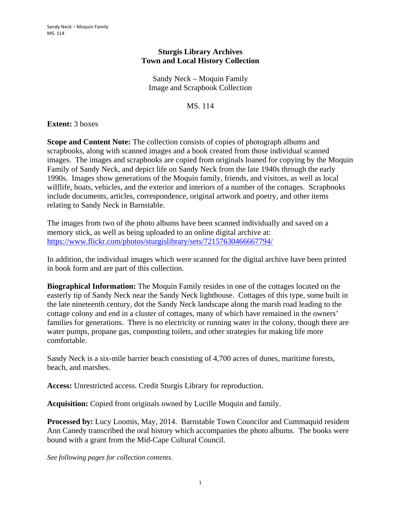## **Sturgis Library Archives Town and Local History Collection**

Sandy Neck – Moquin Family Image and Scrapbook Collection

MS. 114

**Extent:** 3 boxes

**Scope and Content Note:** The collection consists of copies of photograph albums and scrapbooks, along with scanned images and a book created from those individual scanned images. The images and scrapbooks are copied from originals loaned for copying by the Moquin Family of Sandy Neck, and depict life on Sandy Neck from the late 1940s through the early 1990s. Images show generations of the Moquin family, friends, and visitors, as well as local wilflife, boats, vehicles, and the exterior and interiors of a number of the cottages. Scrapbooks include documents, articles, correspondence, original artwork and poetry, and other items relating to Sandy Neck in Barnstable.

The images from two of the photo albums have been scanned individually and saved on a memory stick, as well as being uploaded to an online digital archive at: https://www.flickr.com/photos/sturgislibrary/sets/72157630466667794/

In addition, the individual images which were scanned for the digital archive have been printed in book form and are part of this collection.

**Biographical Information:** The Moquin Family resides in one of the cottages located on the easterly tip of Sandy Neck near the Sandy Neck lighthouse. Cottages of this type, some built in the late nineteenth century, dot the Sandy Neck landscape along the marsh road leading to the cottage colony and end in a cluster of cottages, many of which have remained in the owners' families for generations. There is no electricity or running water in the colony, though there are water pumps, propane gas, composting toilets, and other strategies for making life more comfortable.

Sandy Neck is a six-mile barrier beach consisting of 4,700 acres of dunes, maritime forests, beach, and marshes.

**Access:** Unrestricted access. Credit Sturgis Library for reproduction.

**Acquisition:** Copied from originals owned by Lucille Moquin and family.

**Processed by:** Lucy Loomis, May, 2014. Barnstable Town Councilor and Cummaquid resident Ann Canedy transcribed the oral history which accompanies the photo albums. The books were bound with a grant from the Mid-Cape Cultural Council.

*See following pages for collection contents.*